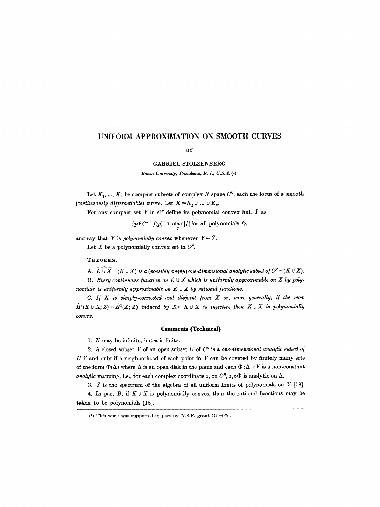# **UNIFORM APPROXIMATION ON SMOOTH CURVES**

#### **BY**

GABRIEL STOLZENBERG

*Brown University, Providence, R. I., U.S.A. Q)* 

Let  $K_1, ..., K_n$  be compact subsets of complex N-space  $C^N$ , each the locus of a smooth *(continuously differentiable)* curve. Let  $K = K_1 \cup ... \cup K_n$ .

For any compact set Y in  $C^N$  define its polynomial convex hull  $\hat{Y}$  as

 $\{p \in C^N : |f(p)| \leq \max_{y} |f| \text{ for all polynomials } f\},\$ 

and say that Y is *polynomially convex* whenever  $Y = \hat{Y}$ . Let X be a polynomially convex set in  $C^N$ .

THEOREM.

A.  $K \cup X - (K \cup X)$  is a (possibly empty) one-dimensional analytic subset of  $C^N - (K \cup X)$ .

**B.** Every continuous function on  $K \cup X$  which is uniformly approximable on  $X$  by poly*nomials is uniformly approximable on*  $K \cup X$  by rational functions.

*C. I/ K is simply-connected and disjoint from X or, more generally, if the map*   $H^1(K \cup X; Z) \rightarrow H^1(X; Z)$  induced by  $X \subset K \cup X$  is injective then  $K \cup X$  is polynomially *oonvex.* 

#### **Comments (Technical)**

1.  $N$  may be infinite, but  $n$  is finite.

2. A closed subset  $V$  of an open subset  $U$  of  $C<sup>N</sup>$  is a *one-dimensional analytic subset of*  $U$  if and only if a neighborhood of each point in  $V$  can be covered by finitely many sets of the form  $\Phi(\Delta)$  where  $\Delta$  is an open disk in the plane and each  $\Phi : \Delta \to V$  is a non-constant *analytic* mapping, i.e., for each complex coordinate  $z_j$  on  $C^N$ ,  $z_j \circ \Phi$  is analytic on  $\Delta$ .

3.  $\hat{Y}$  is the spectrum of the algebra of all uniform limits of polynomials on Y [18].

4. In part B, if  $K \cup X$  is polynomially convex then the rational functions may be taken to be polynomials [18].

 $(1)$  This work was supported in part by N.S.F. grant GU-976.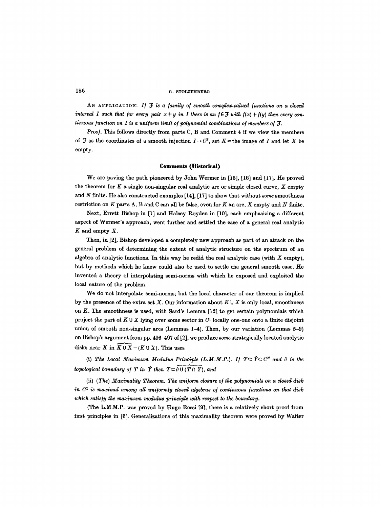### **186 O. STOLZENBERO**

AN APPLICATION: If  $J$  is a family of smooth complex-valued functions on a closed *interval I such that for every pair*  $x + y$  *in I there is an*  $f \in \mathcal{F}$  *with*  $f(x) + f(y)$  *then every continuous function on I is a uniform limit of polynomial combinations of members of* .

*Proo/.* This follows directly from parts C, B and Comment 4 if we view the members of  $\mathcal F$  as the coordinates of a smooth injection  $I\to C^3$ , set  $K=$  the image of I and let X be empty.

#### **Comment8** (Historical)

We are paving the path pioneered by John Wermer in [15], [16] and [17]. He proved the theorem for  $K$  a single non-singular real analytic arc or simple closed curve,  $X$  empty and  $N$  finite. He also constructed examples [14], [17] to show that without some smoothness restriction on  $K$  parts A, B and C can all be false, even for  $K$  an arc,  $X$  empty and  $N$  finite.

Next, Errett Bishop in [1] and Halsey Royden in [10], each emphasizing a different aspect of Wermer's approach, went further and settled the ease of a general real analytic  $K$  and empty  $X$ .

Then, in [2], Bishop developed a completely new approach as part of an attack on the general problem of determining the extent of analytic structure on the spectrum of an algebra of analytic functions. In this way he redid the real analytic case (with  $X$  empty), but by methods which he knew could also be used to settle the general smooth case. He invented a theory of interpolating semi-norms with which he exposed and exploited the local nature of the problem.

We do not interpolate semi-norms; but the local character of our theorem is implied by the presence of the extra set X. Our information about  $K \cup X$  is only local, smoothness on K. The smoothness is used, with Sard's Lemma [12] to get certain polynomials which project the part of  $K \cup X$  lying over some sector in  $C<sup>1</sup>$  locally one-one onto a finite disjoint union of smooth non-singular arcs (Lemmas 1-4). Then, by our variation (Lemmas 5-9) on Bishop's argument from pp. 496-497 of [2], we produce some strategically located analytic disks near K in  $K \cup X - (K \cup X)$ . This uses

(i) The Local Maximum Modulus Principle  $(L.M.M.P.)$ . If  $T \subset \hat{Y} \subset C^N$  and  $\partial$  is the topological boundary of T in  $\hat{Y}$  then  $T \subset \partial U(T \cap Y)$ , and

(ii) (The) *Maximality Theorem. The uni/orm closure o/ the polynomials on a closed disk*  in  $C<sup>1</sup>$  is maximal among all uniformly closed algebras of continuous functions on that disk *which satis/y the maximum modulus principle with respect to the boundary.* 

(The L.M.M.P. was proved by Hugo Bossi [9]; there is a relatively short proof from first principles in [6]. Generalizations of this maximality theorem were proved by Walter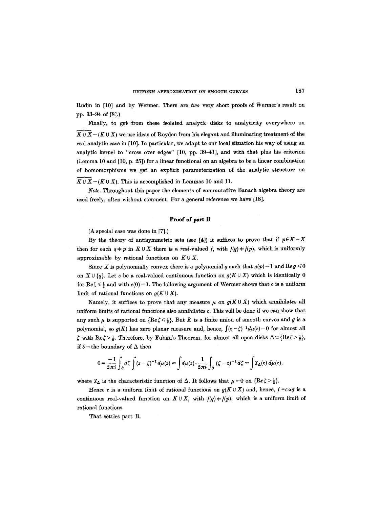Rudin in [10] and by Wermer. There are *two* very short proofs of Wermer's result on pp. 93-94 of [8].}

Finally, to get from these isolated analytic disks to analyticity everywhere on  $K \cup X - (K \cup X)$  we use ideas of Royden from his elegant and illuminating treatment of the real analytic case in [10]. In particular, we adapt to our local situation his way of using an analytic kernel to "cross over edges" [10, pp. 39-41], and with that plus his criterion (Lemma 10 and [10, p. 25]) for a linear functional on an algebra to be a linear combination of homomorphisms we get an explicit parameterization of the analytic structure on  $K \cup \overline{X} - (K \cup X)$ . This is accomplished in Lemmas 10 and 11.

*Note.* Throughout this paper the elements of commutative Banach algebra theory are used freely, often without comment. For a general reference we have [18].

### **Proof of part B**

 $(A$  special case was done in [7].)

By the theory of antisymmetric sets (see [4]) it suffices to prove that if  $p \in K-X$ then for each  $q + p$  in  $K \cup X$  there is a *real*-valued f, with  $f(q) + f(p)$ , which is uniformly approximable by rational functions on  $K \cup X$ .

Since X is polynomially convex there is a polynomial g such that  $g(p)=1$  and  $\text{Re } g \leqslant 0$ on  $X \cup \{q\}$ . Let c be a real-valued continuous function on  $g(K \cup X)$  which is identically 0 for Re $\zeta \leq \frac{1}{2}$  and with  $c(0)=1$ . The following argument of Wermer shows that c is a uniform limit of rational functions on  $g(K \cup X)$ .

Namely, it suffices to prove that any measure  $\mu$  on  $g(K \cup X)$  which annihilates all uniform limits of rational functions also annihilates c. This will be done if we can show that any such  $\mu$  is supported on  $\{Re\xi \leq \frac{1}{2}\}\)$ . But K is a finite union of smooth curves and g is a polynomial, so  $g(K)$  has zero planar measure and, hence,  $\int (z-\zeta)^{-1} d\mu(z) = 0$  for almost all  $\zeta$  with Re $\zeta > \frac{1}{2}$ . Therefore, by Fubini's Theorem, for almost all open disks  $\Delta \leq {\text{Re}}\zeta > \frac{1}{2}$ , if  $\partial$  = the boundary of  $\Delta$  then

$$
0=\frac{-1}{2\pi i}\int_{\partial}d\zeta\int (z-\zeta)^{-1}d\mu(z)=\int d\mu(z)\cdot\frac{1}{2\pi i}\int_{\partial}(\zeta-z)^{-1}d\zeta=\int \chi_{\Delta}(z)\,d\mu(z),
$$

where  $\chi_{\Delta}$  is the characteristic function of  $\Delta$ . It follows that  $\mu=0$  on  $\{Re\zeta>\frac{1}{2}\}$ .

Hence c is a uniform limit of rational functions on  $g(K \cup X)$  and, hence,  $f = c \circ g$  is a continuous real-valued function on  $K \cup X$ , with  $f(q) \neq f(p)$ , which is a uniform limit of rational functions.

That settles part B.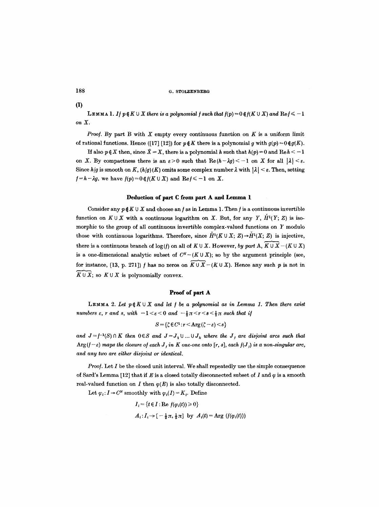188 G. STOLZENBERG

(i)

**LEMMA 1.** If  $p \notin K \cup X$  there is a polynomial f such that  $f(p) = 0 \notin f(K \cup X)$  and  $\text{Re } f \le -1$ *on X.* 

*Proof.* By part B with  $X$  empty every continuous function on  $K$  is a uniform limit of rational functions. Hence ([17] [12]) for  $p \notin K$  there is a polynomial g with  $g(p) = 0 \notin g(K)$ .

If also  $p \notin X$  then, since  $\hat{X} = X$ , there is a polynomial h such that  $h(p) = 0$  and Re $h \le -1$ on X. By compactness there is an  $\varepsilon > 0$  such that  $\text{Re}(h-\lambda g) < -1$  on X for all  $|\lambda| < \varepsilon$ . Since  $h/g$  is smooth on K,  $(h/g)(K)$  omits some complex number  $\lambda$  with  $|\lambda| < \varepsilon$ . Then, setting  $f=h-\lambda g$ , we have  $f(p)=0 \notin f(K \cup X)$  and  $\text{Re } f \leq -1$  on X.

### Deduction of part C from part A and Lemma 1

Consider any  $p \notin K \cup X$  and choose an f as in Lemma 1. Then f is a continuous invertible function on  $K \cup X$  with a continuous logarithm on X. But, for any Y,  $\check{H}^1(Y; Z)$  is isomorphic to the group of all continuous invertible complex-valued functions on Y modulo those with continuous logarithms. Therefore, since  $\check{H}^1(K \cup X; Z) \to \check{H}^1(X; Z)$  is injective, there is a continuous branch of  $log(f)$  on all of  $K \cup X$ . However, by part A,  $\overline{K \cup X} - (K \cup X)$ is a one-dimensional analytic subset of  $C^N - (K \cup X)$ ; so by the argument principle (see, for instance, [13, p. 271]) f has no zeros on  $\widetilde{K \cup X} - (K \cup X)$ . Hence any such p is not in  $\overline{K \cup X}$ ; so  $K \cup X$  is polynomially convex.

### Proof of part A

LEMMA 2. Let  $p \notin K \cup X$  and let f be a polynomial as in Lemma 1. Then there exist *numbers*  $\varepsilon$ *, r and s, with*  $-1 < \varepsilon < 0$  and  $-\frac{1}{2}\pi < r < s < \frac{1}{2}\pi$  such that if

$$
S = \{\zeta \in C^1 : r < \text{Arg}\left(\zeta - \varepsilon\right) < s\}
$$

and  $J=f^{-1}(S) \cap K$  then  $0 \in S$  and  $J=J_1 \cup ... \cup J_k$  where the  $J_j$  are disjoint arcs such that  $Arg(f - \varepsilon)$  maps the closure of each J, in K one-one onto  $[r, s]$ , each  $f(J_i)$  is a non-singular arc, *and any two are either disjoint or identical.* 

*Proof.* Let I be the closed unit interval. We shall repeatedly use the simple consequence of Sard's Lemma [12] that if E is a closed totally disconnected subset of I and  $\varphi$  is a smooth real-valued function on  $I$  then  $\varphi(E)$  is also totally disconnected.

Let  $\varphi_i: I \to C^N$  smoothly with  $\varphi_i(I) = K_i$ . Define

$$
I_i = \{t \in I : \text{Re } f(\varphi_i(t)) \ge 0\}
$$
  

$$
A_i : I_i \to [-\frac{1}{2}\pi, \frac{1}{2}\pi] \text{ by } A_i(t) = \text{Arg } (f(\varphi_i(t)))
$$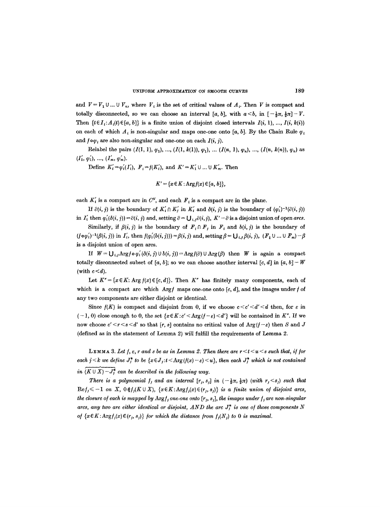and  $V = V_1 \cup ... \cup V_n$ , where  $V_i$  is the set of critical values of  $A_i$ . Then V is compact and totally disconnected, so we can choose an interval [a, b], with  $a < b$ , in  $[-\frac{1}{2}\pi, \frac{1}{2}\pi] - V$ . Then  $\{t \in I_i : A_i(t) \in [a, b]\}$  is a finite union of disjoint closed intervals  $I(i, 1)$ , ...,  $I(i, k(i))$ on each of which  $A_t$  is non-singular and maps one-one onto [a, b]. By the Chain Rule  $\varphi_t$ and  $f \circ \varphi_i$  are also non-singular and one-one on each  $I(i, j)$ .

Relabel the pairs  $(I(1, 1), \varphi_1), ..., (I(1, k(1)), \varphi_1), ..., (I(n, 1), \varphi_n), ..., (I(n, k(n)), \varphi_n)$  as  $(I'_1, \varphi'_1), ..., (I'_m, \varphi'_m).$ 

Define  $K'_{i} = \varphi'_{i}(I'_{i}), F_{i} = f(K'_{i}),$  and  $K' = K'_{1} \cup ... \cup K'_{m}$ . Then

$$
K' = \{x \in K : \text{Arg} f(x) \in [a, b]\},\
$$

each  $K'_{i}$  is a compact arc in  $C^{N}$ , and each  $F_{i}$  is a compact arc in the plane.

If  $\partial(i, j)$  is the boundary of  $K'_i \cap K'_i$  in  $K'_i$  and  $\partial(i, j)$  is the boundary of  $(\varphi'_i)^{-1}(\partial(i, j))$ in  $I'_i$  then  $\varphi'_i(\delta(i, j)) = \partial(i, j)$  and, setting  $\partial = \bigcup_{i,j} \partial(i, j)$ ,  $K' - \partial$  is a disjoint union of open *arcs*.

Similarly, if  $\beta(i, j)$  is the boundary of  $\mathbf{F}_i \cap \mathbf{F}_j$  in  $\mathbf{F}_i$  and  $b(i, j)$  is the boundary of  $(f\circ\varphi_i')^{-1}(\beta(i,j))$  in  $I_i'$ , then  $f(\varphi_i'(b(i,j)))=\beta(i,j)$  and, setting  $\beta=\bigcup_{i,j}\beta(i,j),\ (F_1\cup\ldots\cup F_m)\cap\beta$ is a disjoint union of open arcs.

If  $W = \bigcup_{i,j} \text{Arg} f \circ \varphi'_i (\delta(i, j) \cup b(i, j)) = \text{Arg} f(\partial) \cup \text{Arg} (f)$  then W is again a compact totally disconnected subset of [a, b]; so we can choose another interval [c, d] in [a, b] – W (with  $c < d$ ).

Let  $K'' = \{x \in K: \text{Arg } f(x) \in [c, d]\}.$  Then  $K''$  has finitely many components, each of which is a compact arc which  $\text{Arg} f$  maps one-one onto  $[c, d]$ , and the images under f of any two components are either disjoint or identical.

Since  $f(K)$  is compact and disjoint from 0, if we choose  $c < c' < d' < d$  then, for  $\varepsilon$  in  $(-1, 0)$  close enough to 0, the set  $\{x \in K : c' \leq \text{Arg}(f - \varepsilon) \leq d'\}$  will be contained in K". If we now choose  $c' < r < s < d'$  so that  $[r, s]$  contains no critical value of Arg( $f - \varepsilon$ ) then S and J (defined as in the statement of Lemma 2) will fulfill the requirements of Lemma 2.

**LEMMA** 3. Let  $f, \varepsilon, r$  and  $s$  be as in Lemma 2. Then there are  $r < t < u < s$  such that, if for *each j*  $\lt k$  we define  $J_j^*$  to be  $\{x \in J_j : t \le \text{Arg}(f(x) - \varepsilon) \lt u\}$ , then each  $J_j^*$  which is not contained *in*  $(K \cup X) - J_i^*$  *can be described in the following way.* 

*There is a polynomial*  $f_i$  *and an interval*  $[r_i, s_j]$  in  $(-\frac{1}{2}\pi, \frac{1}{2}\pi)$  (with  $r_i < s_j$ ) such that  $\text{Re} f_j \leq -1$  *on* X,  $0 \notin f_j(K \cup X)$ ,  $\{x \in K: \text{Arg} f_j(x) \in (r_j, s_j)\}$  *is a finite union of disjoint arcs, the closure of each is mapped by Argf<sub>i</sub> one-one onto [r<sub>j</sub>, s<sub>j</sub>], the images under f<sub>j</sub> are non-singular arcs, any two are either identical or disjoint, AND the arc*  $J_i^*$  *is one of those components N of*  $\{x \in K: \text{Arg} f_j(x) \in (r_j, s_j)\}$  *for which the distance from*  $f_j(N_j)$  to 0 is maximal.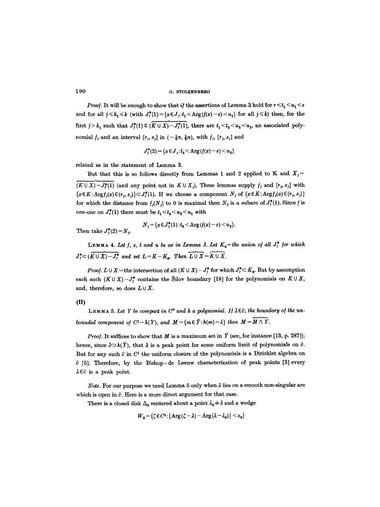190 G. STOLZENBERG

*Proof.* It will be enough to show that if the assertions of Lemma 3 hold for  $r < t_1 < u_1 < s$ and for all  $j \leq k_1 \leq k$  (with  $J_f^*(1) = \{x \in J_f : t_1 \leq \text{Arg}(f(x)-\varepsilon) \leq u_1\}$  for all  $j \leq k$ ) then, for the first  $j > k_1$  such that  $J_f^*(1) \notin (\widetilde{K \cup X}) - J_f^*(1)$ , there are  $t_1 < t_2 < u_2 < u_1$ , an associated polynomial  $f_j$  and an interval  $[r_j, s_j]$  in  $(-\frac{1}{2}\pi, \frac{1}{2}\pi)$ , with  $f_j$ ,  $[r_j, s_j]$  and

$$
J_j^*(2) = \{x \in J_j : t_2 < \text{Arg}(f(x) - \varepsilon) < u_2\}
$$

related as in the statement of Lemma 3.

But that this is so follows directly from Lemmas 1 and 2 applied to K and  $X_j =$  $(K \cup X) - J^*_i(1)$  (and any point not in  $K \cup X_i$ ). These lemmas supply  $f_i$  and  $[r_i, s_j]$  with  $\{x \in K: \text{Arg}f_j(x) \in (r_j, s_j)\} \subset J_j^*(1)$ . If we choose a component N<sub>j</sub> of  $\{x \in K: \text{Arg}f_j(x) \in (r_j, s_j)\}$ for which the distance from  $f_j(N_j)$  to 0 is maximal then  $N_j$  is a subarc of  $J^*(1)$ . Since f is one-one on  $J_j^*(1)$  there must be  $t_1 < t_2 < u_2 < u_1$  with

Then take  $J_j^*(2)=N_j$ .

$$
N_j = \{x \in J_j^*(1) : t_2 < \text{Arg}(f(x) - \varepsilon) < u_2\}.
$$

LEMMA 4. Let f,  $\varepsilon$ , t and u be as in Lemma 3. Let  $K_0$ =the union of all  $J_f^*$  for which  $J^*_j \subset (\overbrace{K \cup X} - J^*_j$  and set  $L=K-K_0$ . Then  $\overbrace{L \cup X} = \overbrace{K \cup X}$ .

*Proof.*  $L \cup X$  = the intersection of all  $(K \cup X) - J_f^*$  for which  $J_f^* \subset K_0$ . But by assumption each such  $(K \cup X)-J_f^*$  contains the Silov boundary [18] for the polynomials on  $K \cup X$ , and, therefore, so does  $L \cup X$ .

LEMMA 5. Let Y be compact in  $C^N$  and h a polynomial. If  $\lambda \in \partial$ , the boundary of the un*bounded component of*  $C^1-h(Y)$ *, and*  $M=\{m \in \hat{Y} : h(m)=\lambda\}$  then  $M=M \cap Y$ .

*Proof.* It suffices to show that M is a maximum set in  $\hat{Y}$  (see, for instance [13, p. 287]); hence, since  $\hat{\partial} \supset h(\hat{Y})$ , that  $\lambda$  is a peak point for some uniform limit of polynomials on  $\partial$ . But for any such  $\partial$  in  $C^1$  the uniform closure of the polynomials is a Dirichlet algebra on  $\partial$  [5]. Therefore, by the Bishop-de Leeuw characterization of peak points [3] every  $\lambda \in \partial$  is a peak point.

*Note.* For our purpose we need Lemma  $5$  only when  $\lambda$  lies on a smooth non-singular are which is open in  $\partial$ . Here is a more direct argument for that case.

There is a closed disk  $\Delta_0$  centered about a point  $\lambda_0 \neq \lambda$  and a wedge

$$
W_0 = \{\zeta \in C^1 : |\operatorname{Arg}(\zeta - \lambda) - \operatorname{Arg}(\lambda - \lambda_0)| < \varepsilon_0\}
$$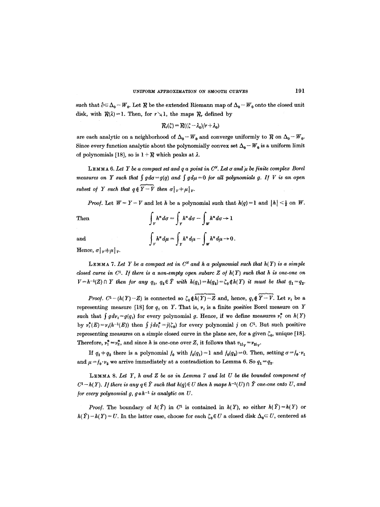such that  $\hat{\partial} \subset \Delta_0 - W_0$ . Let R be the extended Riemann map of  $\Delta_0 - W_0$  onto the closed unit disk, with  $R(\lambda)=1$ . Then, for  $r\searrow 1$ , the maps  $R_r$ , defined by

$$
\mathcal{R}_r(\zeta)=\mathcal{R}((\zeta-\lambda_0)/r+\lambda_0)
$$

are each analytic on a neighborhood of  $\Delta_0 - W_0$  and converge uniformly to  $R$  on  $\Delta_0 - W_0$ . Since every function analytic about the polynomially convex set  $\Delta_0 - W_0$  is a uniform limit of polynomials [18], so is  $1 + R$  which peaks at  $\lambda$ .

LEMMA 6. Let Y be a compact set and q a point in  $C^N$ . Let  $\sigma$  and  $\mu$  be finite complex Borel *measures on Y such that*  $\int g d\sigma = g(q)$  and  $\int g d\mu = 0$  for all polynomials g. If V is an open *subset of Y such that*  $q \notin \overline{Y-V}$  then  $\sigma|_V + \mu|_V$ .

*Proof.* Let  $W = Y - V$  and let h be a polynomial such that  $h(q) = 1$  and  $|h| < \frac{1}{2}$  on W.

 $\int_{V} h^{n} d\sigma = \int_{V} h^{n} d\sigma - \int_{W} h^{n} d\sigma \rightarrow 1$ 

and

$$
\int_V h^n d\mu = \int_Y h^n d\mu - \int_W h^n d\mu \to 0.
$$

Hence,  $\sigma |_{v} \neq \mu |_{v}$ .

**LEMMA 7.** Let Y be a compact set in  $C^N$  and h a polynomial such that  $h(Y)$  is a simple *closed curve in*  $C^1$ *. If there is a non-empty open subarc Z of*  $h(Y)$  *such that h is one-one on*  $V=h^{-1}(Z) \cap Y$  then for any  $q_1, q_2 \in \hat{Y}$  with  $h(q_1)=h(q_2)=\zeta_0 \notin h(Y)$  it must be that  $q_1=q_2$ .

*Proof.*  $C^1-(h(Y)-Z)$  is connected so  $\zeta_0\widehat{\phi}(Y)-Z$  and, hence,  $q_i\widehat{\phi}(Y)-V$ . Let  $v_i$  be a representing measure [18] for  $q_t$  on Y. That is,  $\nu_i$  is a finite *positive* Borel measure on Y such that  $\int g d\nu_i = g(q_i)$  for every polynomial g. Hence, if we define measures  $\nu_i^*$  on  $h(Y)$ by  $v_i^*(E) = v_i(h^{-1}(E))$  then  $\int j d v_i^* = j(\zeta_0)$  for every polynomial j on  $C^1$ . But such positive representing measures on a simple closed curve in the plane are, for a given  $\zeta_0$ , unique [18]. Therefore,  $v_1^* = v_2^*$ , and since h is one-one over Z, it follows that  $v_{1|_V} = v_{2|_V}$ .

If  $q_1 \neq q_2$  there is a polynomial  $f_0$  with  $f_0(q_1) = 1$  and  $f_0(q_2) = 0$ . Then, setting  $\sigma = f_0 \cdot v_1$ and  $\mu = f_0 \cdot v_2$  we arrive immediately at a contradiction to Lemma 6. So  $q_1 = q_2$ .

LEMMA 8. *Let Y, h and Z be as in Lemma 7 and let U be the bounded component of*   $C^1-h(Y)$ . If there is any  $q \in \hat{Y}$  such that  $h(q) \in U$  then h maps  $h^{-1}(U) \cap \hat{Y}$  one-one onto U, and *for every polynomial g, g*  $\circ h^{-1}$  *is analytic on U.* 

*Proof.* The boundary of  $h(\hat{Y})$  in  $C^1$  is contained in  $h(Y)$ , so either  $h(\hat{Y})=h(Y)$  or  $h(\hat{Y}) - h(Y) = U$ . In the latter case, choose for each  $\zeta_0 \in U$  a closed disk  $\Delta_0 \subset U$ , centered at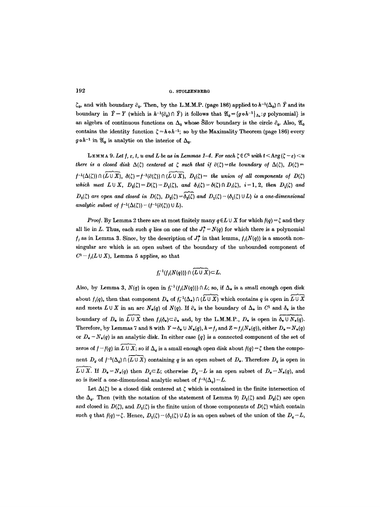**192 O. STOLZENBERG** 

 $\zeta_0$ , and with boundary  $\partial_0$ . Then, by the L.M.M.P. (page 186) applied to  $h^{-1}(\Delta_0) \cap \hat{Y}$  and its boundary in  $\hat{Y}-Y$  (which is  $h^{-1}(\partial_0) \cap \hat{Y}$ ) it follows that  $\mathfrak{A}_0 = \{g \circ h^{-1} |_{\Delta_\mathbf{B}} : g \text{ polynomial}\}$  is an algebra of continuous functions on  $\Delta_0$  whose Silov boundary is the circle  $\partial_0$ . Also,  $\mathfrak{A}_0$ contains the identity function  $\zeta = h \circ h^{-1}$ ; so by the Maximality Theorem (page 186) every  $g \circ h^{-1}$  in  $\mathfrak{A}_0$  is analytic on the interior of  $\Delta_0$ .

**LEMMA 9.** Let  $f, \varepsilon, t, u$  and  $L$  be as in Lemmas 1-4. For each  $\zeta \in C^1$  with  $t < \text{Arg}(\zeta - \varepsilon) < u$ *there is a closed disk*  $\Delta(\zeta)$  *centered at*  $\zeta$  *such that if*  $\partial(\zeta)$  = the boundary of  $\Delta(\zeta)$ ,  $D(\zeta)$  =  $f^{-1}(\Delta(\zeta)) \cap (\overline{L \cup X})$ ,  $\delta(\zeta) = f^{-1}(\partial(\zeta)) \cap (\overline{L \cup X})$ ,  $D_1(\zeta) =$  *the union of all components of D(* $\zeta$ *) which meet*  $L \cup X$ ,  $D_2(\zeta) = D(\zeta) - D_1(\zeta)$ , and  $\delta_i(\zeta) = \delta(\zeta) \cap D_i(\zeta)$ ,  $i = 1, 2$ , *then*  $D_1(\zeta)$  and  $D_2(\zeta)$  are open and closed in  $D(\zeta), D_2(\zeta)=\delta_2(\zeta)$  and  $D_1(\zeta)-(\delta_1(\zeta)\cup L)$  is a one-dimensional *analytic subset of*  $f^{-1}(\Delta(\zeta)) - (f^{-1}(\partial(\zeta))) \cup L$ *.* 

*Proof.* By Lemma 2 there are at most finitely many  $q \in L \cup X$  for which  $f(q) = \zeta$  and they all lie in L. Thus, each such q lies on one of the  $J_f^* = N(q)$  for which there is a polynomial  $f_i$  as in Lemma 3. Since, by the description of  $J_i^*$  in that lemma,  $f_i(N(q))$  is a smooth nonsingular arc which is an open subset of the boundary of the unbounded component of  $C^1 - f_i(L \cup X)$ , Lemma 5 applies, so that

$$
f_j^{-1}(f_j(N(q)))\cap \widehat{(L\cup X)}\subset L.
$$

Also, by Lemma 3,  $N(q)$  is open in  $f_1^{-1}(f_1(N(q))) \cap L$ ; so, if  $\Delta_*$  is a small enough open disk about  $f_i(q)$ , then that component  $D_*$  of  $f_i^{-1}(\Delta_*) \cap (\overline{L \cup X})$  which contains q is open in  $\overline{L \cup X}$ and meets  $L \cup X$  in an arc  $N_*(q)$  of  $N(q)$ . If  $\partial_*$  is the boundary of  $\Delta_*$  in  $C^1$  and  $\delta_*$  is the boundary of  $D_*$  in  $\widetilde{L \cup X}$  then  $f_*(\delta_*) \subset \partial_*$  and, by the L.M.M.P.,  $D_*$  is open in  $\delta_* \cup N_*(q)$ . Therefore, by Lemmas 7 and 8 with  $Y = \delta_* \cup N_*(q)$ ,  $h = f_j$  and  $Z = f_j(N_*(q))$ , either  $D_* = N_*(q)$ or  $D_* - N_*(q)$  is an analytic disk. In either case  $\{q\}$  is a connected component of the set of zeros of  $f-f(q)$  in  $\overline{L \cup X}$ ; so if  $\Delta_q$  is a small enough open disk about  $f(q) = \zeta$  then the component  $D_q$  of  $f^{-1}(\Delta_q) \cap (L \cup X)$  containing q is an open subset of  $D_*$ . Therefore  $D_q$  is open in  $\overline{L \cup X}$ . If  $D_* = N_*(q)$  then  $D_q \subset L$ ; otherwise  $D_q - L$  is an open subset of  $D_* - N_*(q)$ , and so is itself a one-dimensional analytic subset of  $f^{-1}(\Delta_q)-L$ .

Let  $\Delta(\zeta)$  be a closed disk centered at  $\zeta$  which is contained in the finite intersection of the  $\Delta_q$ . Then (with the notation of the statement of Lemma 9)  $D_1(\zeta)$  and  $D_2(\zeta)$  are open and closed in  $D(\zeta)$ , and  $D_1(\zeta)$  is the finite union of those components of  $D(\zeta)$  which contain such q that  $f(q)=\zeta$ . Hence,  $D_1(\zeta)-(\delta_1(\zeta) \cup L)$  is an open subset of the union of the  $D_q-L$ ,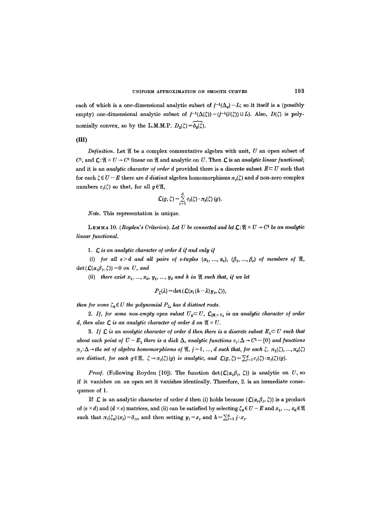each of which is a one-dimensional analytic subset of  $f^{-1}(\Delta_q)-L$ ; so it itself is a (possibly empty) one-dimensional analytic subset of  $f^{-1}(\Delta(\zeta)) - (f^{-1}(\partial(\zeta)) \cup L)$ . Also,  $D(\zeta)$  is polynomially convex, so by the L.M.M.P.  $D_2(\zeta) = \widetilde{\delta_2(\zeta)}$ .

(III)

 $Definition.$  Let  $\mathfrak A$  be a complex commutative algebra with unit,  $U$  an open subset of  $C^1$ , and  $\mathcal{L}: \mathfrak{A} \times U \to C^1$  linear on  $\mathfrak{A}$  and analytic on U. Then  $\mathcal{L}$  is an *analytic linear functional*; and it is an *analytic character of order d* provided there is a discrete subset  $E \subseteq U$  such that for each  $\zeta \in U - E$  there are *d distinct* algebra homomorphisms  $\pi_i(\zeta)$  and d non-zero complex numbers  $c_i(\zeta)$  so that, for all  $g \in \mathfrak{A}$ ,

$$
\mathcal{L}(g,\zeta)=\sum_{j=1}^d c_j(\zeta)\cdot \pi_j(\zeta)\ (g).
$$

*Note.* This representation is unique.

LEMMA 10. *(Royden's Criterion). Let U be connected and let*  $\mathcal{L}: \mathfrak{A} \times U \to C^1$  be an analytic *linear functional.* 

**1.**  $\mathcal{L}$  is an analytic character of order d if and only if

(i) for all  $e>d$  and all pairs of e-tuples  $(\alpha_1, ..., \alpha_e)$ ,  $(\beta_1, ..., \beta_e)$  of members of  $\mathfrak{A}$ ,  $\det(\mathcal{L}(\alpha_i\beta_i,\zeta))=0$  *on U*, *and* 

(ii) there exist  $x_1, ..., x_d, y_1, ..., y_d$  and h in  $\mathfrak A$  such that, if we let

$$
P_{\zeta}(\lambda) = \det\left(\mathcal{L}(x_i(h-\lambda)y_j,\zeta)\right),\,
$$

*then for some*  $\zeta_0 \in U$  *the polynomial*  $P_{\zeta_0}$  *has d distinct roots.* 

2. If, for some non-empty open subset  $U_0 \subset U$ ,  $\mathcal{L}_{|\mathfrak{A} \times \mathfrak{V}_0}$  is an analytic character of order *d, then also*  $\mathcal{L}$  *is an analytic character of order d on*  $\mathfrak{A} \times U$ *.* 

3. If  $\mathcal{L}$  is an analytic character of order d then there is a discrete subset  $E_i \subset U$  such that *about each point of*  $U - E_1$  *there is a disk*  $\Delta$ *, analytic functions*  $c_i$ *:*  $\Delta \rightarrow C^1$  –  $\{0\}$  *and functions*  $\pi_i:\Delta\to$  the set of algebra homomorphisms of  $\mathfrak{A}, j=1, ..., d$  such that, for each  $\zeta, \pi_1(\zeta), ..., \pi_d(\zeta)$ *are distinct, for each*  $g \in \mathfrak{A}$ *,*  $\zeta \rightarrow \pi_j(\zeta)(g)$  *is analytic, and*  $\mathcal{L}(g, \zeta) = \sum_{j=1}^d c_j(\zeta) \cdot \pi_j(\zeta)(g)$ *.* 

*Proof.* (Following Royden [10]). The function  $\det(\mathcal{L}(\alpha_i\beta_j, \zeta))$  is analytic on U, so if it vanishes on an open set it vanishes identically. Therefore, 2. is an immediate consequence of 1.

If  $\mathcal L$  is an analytic character of order d then (i) holds because  $(\mathcal L(\alpha_i\beta_j,\zeta))$  is a product of  $(e \times d)$  and  $(d \times e)$  matrices, and (ii) can be satisfied by selecting  $\zeta_0 \in U - E$  and  $x_1, ..., x_d \in \mathfrak{A}$ such that  $\pi_i(\zeta_0)(x_j)=\delta_{ij}$ , and then setting  $y_j = x_j$  and  $h = \sum_{j=1}^d j \cdot x_j$ .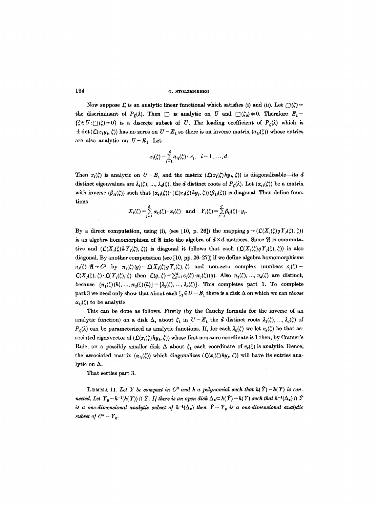### 194 **o. STOLZENBERG**

Now suppose  $\mathcal L$  is an analytic linear functional which satisfies (i) and (ii). Let  $\Box(\zeta)$  = the discriminant of  $P_{\zeta}(\lambda)$ . Then  $\Box$  is analytic on U and  $\Box(\zeta_0) \neq 0$ . Therefore  $E_1 =$  ${c \in U : \Box(\zeta)=0}$  is a discrete subset of U. The leading coefficient of  $P_{\zeta}(\lambda)$  which is  $\pm \det(\mathcal{L}(x_i, y_j, \zeta))$  has no zeros on  $U - E_1$  so there is an inverse matrix  $(a_{ij}(\zeta))$  whose entries are also analytic on  $U-E_1$ . Let

$$
x_i(\zeta) = \sum_{j=1}^d a_{ij}(\zeta) \cdot x_j, \quad i = 1, \ldots, d.
$$

Then  $x_i(\zeta)$  is analytic on  $U-E_1$  and the matrix  $(\mathcal{L}(x_i(\zeta)hy_i, \zeta))$  is diagonalizable--its d distinct eigenvalues are  $\lambda_1(\zeta), ..., \lambda_d(\zeta)$ , the d distinct roots of  $P_{\zeta}(\lambda)$ . Let  $(\alpha_{ij}(\zeta))$  be a matrix with inverse  $(\beta_{ij}(\zeta))$  such that  $(\alpha_{ij}(\zeta)) \cdot (L(x_i(\zeta)hy_{ij}, \zeta))(\beta_{ij}(\zeta))$  is diagonal. Then define functions

$$
X_i(\zeta) = \sum_{j=1}^d \alpha_{ij}(\zeta) \cdot x_j(\zeta) \quad \text{and} \quad Y_i(\zeta) = \sum_{j=1}^d \beta_{ij}(\zeta) \cdot y_j.
$$

By a direct computation, using (i), (see [10, p. 26]) the mapping  $g \rightarrow (\mathcal{L}(X_i(\zeta)gY_j(\zeta), \zeta))$ is an algebra homomorphism of  $\mathfrak A$  into the algebra of  $d \times d$  matrices. Since  $\mathfrak A$  is commutative and  $(C(X<sub>i</sub>(\zeta)hY<sub>j</sub>(\zeta), \zeta))$  is diagonal it follows that each  $(C(X<sub>i</sub>(\zeta)gY<sub>j</sub>(\zeta), \zeta))$  is also diagonal. By another computation (see [10, pp. 26-27]) if we define algebra homomorphisms  $\pi_j(\zeta): \mathfrak{A} \to C^1$  by  $\pi_j(\zeta)(g) = \mathcal{L}(X_j(\zeta)) g Y_j(\zeta), \zeta$  and non-zero complex numbers  $c_j(\zeta) =$  $\mathcal{L}(X_{j}(\zeta), \zeta) \cdot \mathcal{L}(Y_{j}(\zeta), \zeta)$  then  $\mathcal{L}(g, \zeta) = \sum_{i=1}^{d} c_{j}(\zeta) \cdot \pi_{j}(\zeta)(g)$ . Also  $\pi_{1}(\zeta), ..., \pi_{d}(\zeta)$  are distinct, because  $\{\pi_1(\zeta)(h), ..., \pi_d(\zeta)(h)\}=\{\lambda_1(\zeta), ..., \lambda_d(\zeta)\}.$  This completes part I. To complete part 3 we need only show that about each  $\zeta_1 \in U - E_1$  there is a disk  $\Delta$  on which we can *choose*  $\alpha_{ij}(\zeta)$  to be analytic.

This can be done as follows. Firstly (by the Cauchy formula for the inverse of an analytic function) on a disk  $\Delta_1$  about  $\zeta_1$  in  $U-E_1$  the d distinct roots  $\lambda_1(\zeta), ..., \lambda_d(\zeta)$  of  $P_{\ell}(\lambda)$  can be parameterized as analytic functions. If, for each  $\lambda_k(\zeta)$  we let  $v_k(\zeta)$  be that associated eigenvector of  $(\mathcal{L}(x, \zeta)hy, \zeta)$  whose first non-zero coordinate is 1 then, by Cramer's Rule, on a possibly smaller disk  $\Delta$  about  $\zeta_1$  each coordinate of  $v_k(\zeta)$  is analytic. Hence, the associated matrix  $(\alpha_{ij}(\zeta))$  which diagonalizes  $(\mathcal{L}(x_i(\zeta)hy_j, \zeta))$  will have its entries analytic on  $\Delta$ .

That settles part 3.

LEMMA 11. Let Y be compact in  $C^N$  and h a polynomial such that  $h(\hat{Y}) - h(Y)$  is con*nected, Let*  $Y_0 = h^{-1}(h(Y)) \cap \hat{Y}$ . If there is an open disk  $\Delta_* \subset h(\hat{Y}) - h(Y)$  such that  $h^{-1}(\Delta_*) \cap \hat{Y}$ *is a one-dimensional analytic subset of*  $h^{-1}(\Delta_*)$  *then*  $\hat{Y}-Y_0$  *is a one-dimensional analytic subset of*  $C^N - Y_0$ .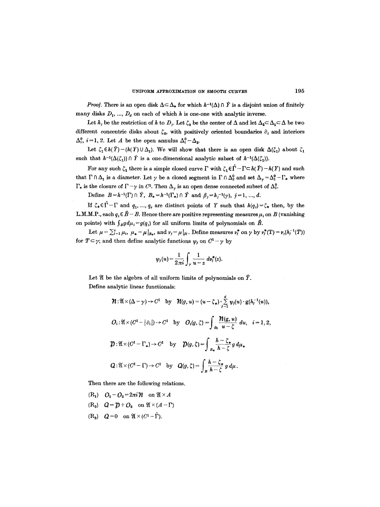*Proof.* There is an open disk  $\Delta \subseteq \Delta_*$  for which  $h^{-1}(\Delta) \cap \hat{Y}$  is a disjoint union of finitely many disks  $D_1, ..., D_d$  on each of which h is one-one with analytic inverse.

Let  $h_j$  be the restriction of h to  $D_j$ . Let  $\zeta_0$  be the center of  $\Delta$  and let  $\Delta_2 \subset \Delta_1 \subset \Delta$  be two different concentric disks about  $\zeta_0$ , with positively oriented boundaries  $\partial_i$  and interiors  $\Delta_i^0$ ,  $i=1, 2$ . Let A be the open annulus  $\Delta_i^0 - \Delta_2$ .

Let  $\zeta_1 \in h(\hat{Y})-(h(Y)\cup \Delta_1)$ . We will show that there is an open disk  $\Delta(\zeta_1)$  about  $\zeta_1$ such that  $h^{-1}(\Delta(\zeta_1)) \cap \hat{Y}$  is a one-dimensional analytic subset of  $h^{-1}(\Delta(\zeta_1)).$ 

For any such  $\zeta_1$  there is a simple closed curve  $\Gamma$  with  $\zeta_1 \in \hat{\Gamma} - \Gamma \subset h(\hat{Y}) - h(Y)$  and such that  $\Gamma \cap \Delta_1$  is a diameter. Let  $\gamma$  be a closed segment in  $\Gamma \cap \Delta_2^0$  and set  $\Delta_{\gamma} = \Delta_1^0 - \Gamma_*$  where  $\Gamma_*$  is the closure of  $\Gamma - \gamma$  in  $C^1$ . Then  $\Delta_{\gamma}$  is an open dense connected subset of  $\Delta_{1}^0$ .

Define  $B=h^{-1}(\Gamma) \cap \hat{Y}, B_{*}=h^{-1}(\Gamma_{*}) \cap \hat{Y}$  and  $\beta_{j}=h_{j}^{-1}(\gamma), j=1, ..., d$ .

If  $\zeta_* \in \hat{\Gamma} - \Gamma$  and  $q_1, ..., q_e$  are distinct points of Y such that  $h(q_i) = \zeta_*$  then, by the L.M.M.P., each  $q_i \in \hat{B}-B$ . Hence there are positive representing measures  $\mu_i$  on B (vanishing on points) with  $\int_B g d\mu_i = g(q_i)$  for all uniform limits of polynomials on  $\hat{B}$ .

Let  $\mu = \sum_{i=1}^{e} \mu_i$ ,  $\mu_* = \mu|_{B_*}$ , and  $\nu_j = \mu|_{\beta_j}$ . Define measures  $\nu_j^*$  on  $\gamma$  by  $\nu_j^*(T) = \nu_j(h_j^{-1}(T))$ for  $T \subset \gamma$ ; and then define analytic functions  $\psi_j$  on  $C^1 - \gamma$  by

$$
\psi_j(u) = \frac{1}{2\pi i} \int_{\gamma} \frac{1}{u-z} \, d\nu_j^*(z).
$$

Let  $\mathfrak A$  be the algebra of all uniform limits of polynomials on  $\hat Y$ . Define analytic linear funetionals:

$$
\mathcal{H}: \mathfrak{A} \times (\Delta - \gamma) \to C^1 \quad \text{by} \quad \mathcal{H}(g, u) = (u - \zeta_*) \cdot \sum_{j=1}^d \psi_j(u) \cdot g(h_j^{-1}(u)),
$$
\n
$$
O_i: \mathfrak{A} \times (C^1 - |\partial_i|) \to C^1 \quad \text{by} \quad O_i(g, \zeta) = \int_{\partial_i} \frac{\mathcal{H}(g, u)}{u - \zeta} du, \quad i = 1, 2,
$$
\n
$$
\mathcal{D}: \mathfrak{A} \times (C^1 - \Gamma_*) \to C^1 \quad \text{by} \quad \mathcal{D}(g, \zeta) = \int_{B_*} \frac{h - \zeta_*}{h - \zeta} g d\mu*
$$
\n
$$
Q: \mathfrak{A} \times (C^1 - \Gamma) \to C^1 \quad \text{by} \quad Q(g, \zeta) = \int_{B} \frac{h - \zeta_*}{h - \zeta} g d\mu.
$$

Then there are the following relations.

- $(R_1)$   $Q_1 Q_2 = 2\pi i \mathcal{H}$  on  $\mathfrak{A} \times A$
- $(R_2)$   $Q = \mathcal{D} + O_2$  on  $\mathfrak{A} \times (A \Gamma)$
- $(R_3)$   $Q=0$  on  $\mathfrak{A}\times (C^1-\hat{\Gamma}).$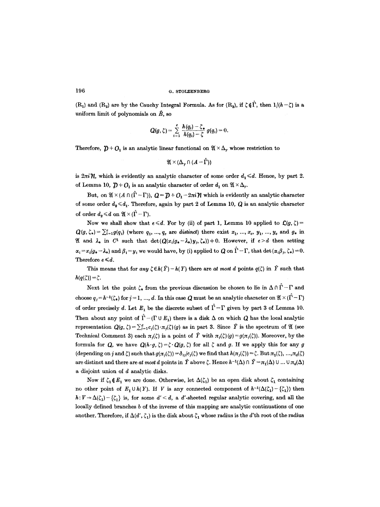$(R_1)$  and  $(R_2)$  are by the Cauchy Integral Formula. As for  $(R_3)$ , if  $\zeta \notin \Gamma$ , then  $1/(h-\zeta)$  is a uniform limit of polynomials on  $\hat{B}$ , so

$$
Q(g,\zeta)=\sum_{i=1}^e\frac{h(q_i)-\zeta_*}{h(q_i)-\zeta}\,g(q_i)=0.
$$

Therefore,  $\mathcal{D} + O_1$  is an analytic linear functional on  $\mathfrak{A} \times \Delta_{\gamma}$  whose restriction to

$$
\mathfrak{A}\times (\Delta_{\gamma}\cap (A-\hat{\Gamma}))
$$

is  $2\pi i \mathcal{H}$ , which is evidently an analytic character of some order  $d_1 \le d$ . Hence, by part 2. of Lemma 10,  $\mathcal{D} + O_1$  is an analytic character of order  $d_1$  on  $\mathfrak{A} \times \Delta_{\gamma}$ .

But, on  $\mathfrak{A} \times (A \cap (\hat{\Gamma} - \Gamma))$ ,  $Q = \mathcal{D} + O_1 - 2\pi i \mathcal{H}$  which is evidently an analytic character of some order  $d_2 \leq d_1$ . Therefore, again by part 2 of Lemma 10, Q is an analytic character of order  $d_2 \le d$  on  $\mathfrak{A} \times (\Gamma - \Gamma)$ .

Now we shall show that  $e \le d$ . For by (ii) of part 1, Lemma 10 applied to  $\mathcal{L}(g, \zeta) =$  $Q(g, \zeta_*) = \sum_{i=1}^e g(q_i)$  (where  $q_1, ..., q_e$  are *distinct*) there exist  $x_1, ..., x_e, y_1, ..., y_e$  and  $g_*$  in 21 and  $\lambda_*$  in C<sup>1</sup> such that  $\det(Q(x_i(g_*-\lambda_*), y_j, \zeta_*))\neq 0$ . However, if  $e>d$  then setting  $\alpha_i = x_i(g_* - \lambda_*)$  and  $\beta_i = y_i$  we would have, by (i) applied to Q on  $\hat{\Gamma} - \Gamma$ , that det  $(\alpha_i \beta_i, \zeta_*) = 0$ . Therefore  $e \le d$ .

This means that for *any*  $\zeta \in h(\hat{Y})-h(Y)$  there are *at most d* points  $q(\zeta)$  in  $\hat{Y}$  such that  $h(q(\zeta)) = \zeta$ .

Next let the point  $\zeta_*$  from the previous discussion be chosen to lie in  $\Delta \cap \hat{\Gamma} - \Gamma$  and choose  $q_j = h^{-1}(\zeta_*)$  for  $j = 1, ..., d$ . In this case Q must be an analytic character on  $\mathfrak{A} \times (\Gamma - \Gamma)$ of order precisely d. Let  $E_1$  be the discrete subset of  $\hat{\Gamma} - \Gamma$  given by part 3 of Lemma 10. Then about any point of  $\hat{\Gamma} - (\Gamma \cup E_1)$  there is a disk  $\Delta$  on which  $Q$  has the local analytic representation  $Q(g, \zeta) = \sum_{j=1}^d c_j(\zeta) \cdot \pi_j(\zeta)(g)$  as in part 3. Since  $\hat{Y}$  is the spectrum of  $\mathfrak{A}$  (see Technical Comment 3) each  $\pi_i(\zeta)$  is a point of  $\hat{Y}$  with  $\pi_i(\zeta)(g)=g(\pi_i(\zeta))$ . Moreover, by the formula for Q, we have  $Q(h \cdot g, \zeta) = \zeta \cdot Q(g, \zeta)$  for all  $\zeta$  and g. If we apply this for any g (depending on j and  $\zeta$ ) such that  $g(\pi_j(\zeta)) = \delta_{ij}/c_j(\zeta)$  we find that  $h(\pi_j(\zeta)) = \zeta$ . But  $\pi_1(\zeta)$ , ...,  $\pi_d(\zeta)$ are distinct and there are *at most d* points in  $\hat{Y}$  above  $\zeta$ . Hence  $h^{-1}(\Delta) \cap \hat{Y} = \pi_1(\Delta) \cup ... \cup \pi_d(\Delta)$ a disjoint union of d analytic disks.

Now if  $\zeta_1 \notin E_1$  we are done. Otherwise, let  $\Delta(\zeta_1)$  be an open disk about  $\zeta_1$  containing no other point of  $E_1 \cup h(Y)$ . If V is any connected component of  $h^{-1}(\Delta(\zeta_1)-\{\zeta_1\})$  then  $h:V\to\Delta(\zeta_1)-\{\zeta_1\}$  is, for some  $d'< d$ , a d'-sheeted regular analytic covering, and all the locally defined branches b of the inverse of this mapping are analytic continuations of one another. Therefore, if  $\Delta(d', \zeta_1)$  is the disk about  $\zeta_1$  whose radius is the d'th root of the radius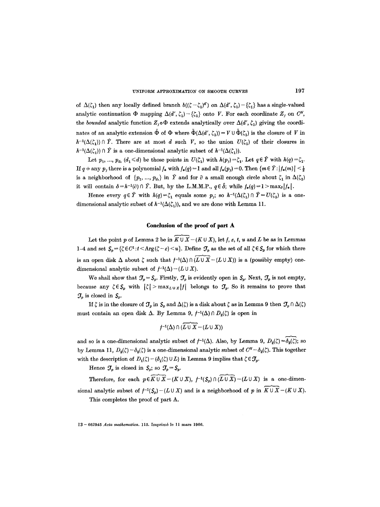of  $\Delta(\zeta_1)$  then any locally defined branch  $b((\zeta-\zeta_1)^d)$  on  $\Delta(d', \zeta_1) - {\zeta_1}$  has a single-valued analytic continuation  $\Phi$  mapping  $\Delta(d', \zeta_1) - {\zeta \zeta_1}$  onto V. For each coordinate  $Z_j$  on  $C^N$ , the *bounded* analytic function  $Z_j \circ \Phi$  extends analytically over  $\Delta(d', \zeta_1)$  giving the coordinates of an analytic extension  $\tilde{\Phi}$  of  $\Phi$  where  $\tilde{\Phi}(\Delta(d', \zeta_1)) = V \cup \tilde{\Phi}(\zeta_1)$  is the closure of V in  $h^{-1}(\Delta(\zeta_1)) \cap \hat{Y}$ . There are at most d such V, so the union  $U(\zeta_1)$  of their closures in  $h^{-1}(\Delta(\zeta_1)) \cap \hat{Y}$  is a one-dimensional analytic subset of  $h^{-1}(\Delta(\zeta_1))$ .

Let  $p_1, ..., p_{d_1}$  ( $d_1 \le d$ ) be those points in  $U(\zeta_1)$  with  $h(p_j) = \zeta_1$ . Let  $q \in \hat{Y}$  with  $h(q) = \zeta_1$ . If  $q \neq \text{any } p_j$ , there is a polynomial  $f_*$  with  $f_*(q) = 1$  and all  $f_*(p_j) = 0$ . Then  $\{m \in \hat{Y}: |f_*(m)| \leq \frac{1}{2}\}$ is a neighborhood of  $\{p_1, ..., p_{d}\}$  in  $\hat{Y}$  and for  $\partial$  a small enough circle about  $\zeta_1$  in  $\Delta(\zeta_1)$ it will contain  $\delta = h^{-1}(\partial) \cap \hat{Y}$ . But, by the L.M.M.P.,  $q \in \hat{\delta}$ ; while  $f_*(q) = 1 > \max_{\delta} |f_*|$ .

Hence every  $q \in \hat{Y}$  with  $h(q)=\zeta_1$  equals some  $p_j$ ; so  $h^{-1}(\Delta(\zeta_1) \cap \hat{Y}=U(\zeta_1)$  is a onedimensional analytic subset of  $h^{-1}(\Delta(\zeta_1))$ , and we are done with Lemma 11.

## **Conclusion of the proof of part A**

Let the point p of Lemma 2 be in  $K \cup \overline{X}$  –  $(K \cup \overline{X})$ , let f, e, t, u and L be as in Lemmas 1-4 and set  $S_p = {\zeta \in C^1 : t < \text{Arg}\,(\zeta - \varepsilon) \leq u}$ . Define  $\mathcal{T}_p$  as the set of all  $\zeta \in S_p$  for which there is an open disk  $\Delta$  about  $\zeta$  such that  $f^{-1}(\Delta) \cap (L \cup \overline{X} - (L \cup \overline{X}))$  is a (possibly empty) onedimensional analytic subset of  $f^{-1}(\Delta) - (L \cup X)$ .

We shall show that  $\mathcal{J}_p = \mathcal{S}_p$ . Firstly,  $\mathcal{J}_p$  is evidently open in  $\mathcal{S}_p$ . Next,  $\mathcal{J}_p$  is not empty, because any  $\zeta \in S_p$  with  $|\zeta| > \max_{L \cup X}|f|$  belongs to  $\mathcal{T}_p$ . So it remains to prove that  $\mathcal{J}_v$  is closed in  $\mathcal{S}_v$ .

If  $\zeta$  is in the closure of  $\mathcal{J}_p$  in  $\zeta_p$  and  $\Delta(\zeta)$  is a disk about  $\zeta$  as in Lemma 9 then  $\mathcal{J}_p \cap \Delta(\zeta)$ must contain an open disk  $\Delta$ . By Lemma 9,  $f^{-1}(\Delta) \cap D_2(\zeta)$  is open in

$$
f^{-1}(\Delta) \cap (\widetilde{L \cup X} - (L \cup X))
$$

and so is a one-dimensional analytic subset of  $f^{-1}(\Delta)$ . Also, by Lemma 9,  $D_2(\zeta) = \delta_2(\zeta)$ ; so by Lemma 11,  $D_2(\zeta) - \delta_2(\zeta)$  is a one-dimensional analytic subset of  $C^N - \delta_2(\zeta)$ . This together with the description of  $D_1(\zeta) - (\delta_1(\zeta) \cup L)$  in Lemma 9 implies that  $\zeta \in \mathcal{T}_p$ .

Hence  $J_p$  is closed in  $S_p$ ; so  $J_p = S_p$ .

Therefore, for each  $p \in \overbrace{K \cup X}$  -  $(K \cup X)$ ,  $f^{-1}(S_n) \cap (\overbrace{L \cup X})$  -  $(L \cup X)$  is a one-dimensional analytic subset of  $f^{-1}(S_p)-(L \cup X)$  and is a neighborhood of p in  $\widetilde{K \cup X}-(K \cup X)$ . This completes the proof of part A.

13 - 662945 *Acta mathematica*. 115. Imprimé le 11 mars 1966.